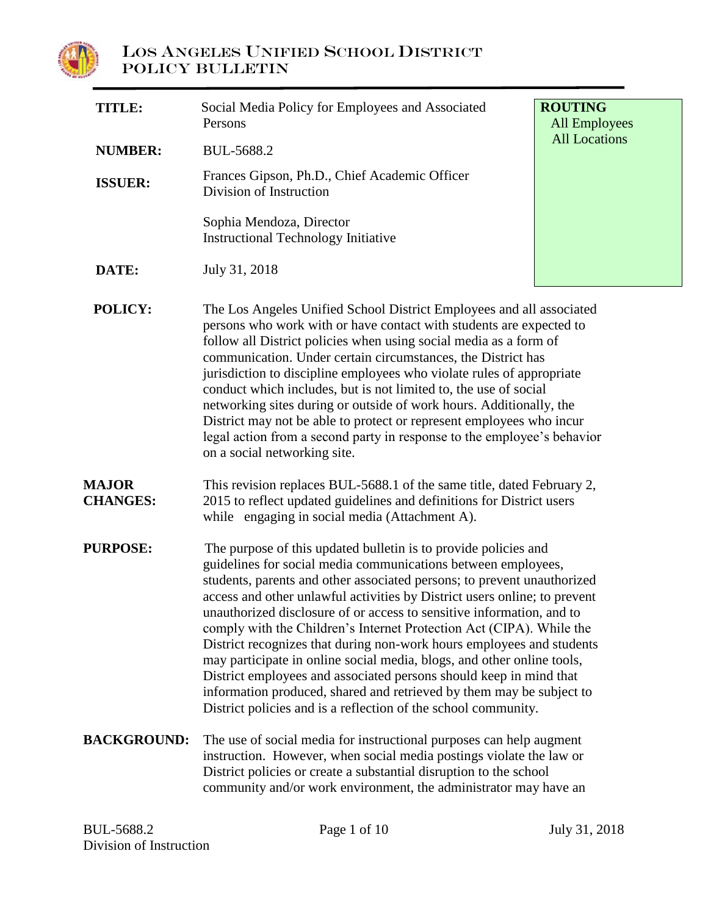

| <b>TITLE:</b>                   | Social Media Policy for Employees and Associated<br>Persons                                                                                                                                                                                                                                                                                                                                                                                                                                                                                                                                                                                                                                                                                                                                                  | <b>ROUTING</b><br><b>All Employees</b> |
|---------------------------------|--------------------------------------------------------------------------------------------------------------------------------------------------------------------------------------------------------------------------------------------------------------------------------------------------------------------------------------------------------------------------------------------------------------------------------------------------------------------------------------------------------------------------------------------------------------------------------------------------------------------------------------------------------------------------------------------------------------------------------------------------------------------------------------------------------------|----------------------------------------|
| <b>NUMBER:</b>                  | BUL-5688.2                                                                                                                                                                                                                                                                                                                                                                                                                                                                                                                                                                                                                                                                                                                                                                                                   | <b>All Locations</b>                   |
| <b>ISSUER:</b>                  | Frances Gipson, Ph.D., Chief Academic Officer<br>Division of Instruction                                                                                                                                                                                                                                                                                                                                                                                                                                                                                                                                                                                                                                                                                                                                     |                                        |
|                                 | Sophia Mendoza, Director<br><b>Instructional Technology Initiative</b>                                                                                                                                                                                                                                                                                                                                                                                                                                                                                                                                                                                                                                                                                                                                       |                                        |
| DATE:                           | July 31, 2018                                                                                                                                                                                                                                                                                                                                                                                                                                                                                                                                                                                                                                                                                                                                                                                                |                                        |
| <b>POLICY:</b>                  | The Los Angeles Unified School District Employees and all associated<br>persons who work with or have contact with students are expected to<br>follow all District policies when using social media as a form of<br>communication. Under certain circumstances, the District has<br>jurisdiction to discipline employees who violate rules of appropriate<br>conduct which includes, but is not limited to, the use of social<br>networking sites during or outside of work hours. Additionally, the<br>District may not be able to protect or represent employees who incur<br>legal action from a second party in response to the employee's behavior<br>on a social networking site.                                                                                                                      |                                        |
| <b>MAJOR</b><br><b>CHANGES:</b> | This revision replaces BUL-5688.1 of the same title, dated February 2,<br>2015 to reflect updated guidelines and definitions for District users<br>while engaging in social media (Attachment A).                                                                                                                                                                                                                                                                                                                                                                                                                                                                                                                                                                                                            |                                        |
| <b>PURPOSE:</b>                 | The purpose of this updated bulletin is to provide policies and<br>guidelines for social media communications between employees,<br>students, parents and other associated persons; to prevent unauthorized<br>access and other unlawful activities by District users online; to prevent<br>unauthorized disclosure of or access to sensitive information, and to<br>comply with the Children's Internet Protection Act (CIPA). While the<br>District recognizes that during non-work hours employees and students<br>may participate in online social media, blogs, and other online tools,<br>District employees and associated persons should keep in mind that<br>information produced, shared and retrieved by them may be subject to<br>District policies and is a reflection of the school community. |                                        |
| <b>BACKGROUND:</b>              | The use of social media for instructional purposes can help augment<br>instruction. However, when social media postings violate the law or<br>District policies or create a substantial disruption to the school<br>community and/or work environment, the administrator may have an                                                                                                                                                                                                                                                                                                                                                                                                                                                                                                                         |                                        |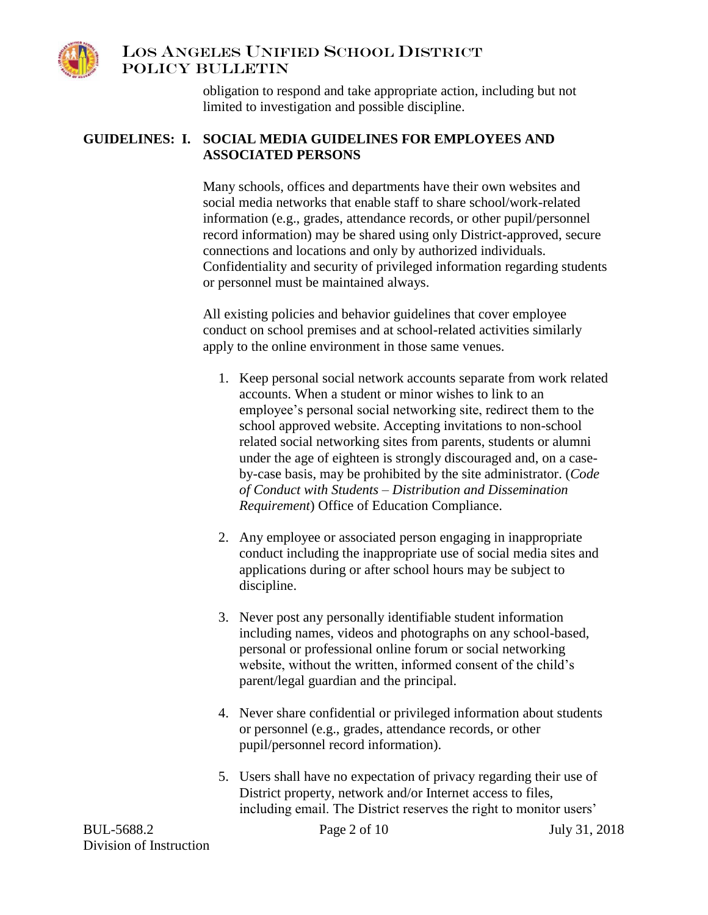

obligation to respond and take appropriate action, including but not limited to investigation and possible discipline.

#### **GUIDELINES: I. SOCIAL MEDIA GUIDELINES FOR EMPLOYEES AND ASSOCIATED PERSONS**

Many schools, offices and departments have their own websites and social media networks that enable staff to share school/work-related information (e.g., grades, attendance records, or other pupil/personnel record information) may be shared using only District-approved, secure connections and locations and only by authorized individuals. Confidentiality and security of privileged information regarding students or personnel must be maintained always.

All existing policies and behavior guidelines that cover employee conduct on school premises and at school-related activities similarly apply to the online environment in those same venues.

- 1. Keep personal social network accounts separate from work related accounts. When a student or minor wishes to link to an employee's personal social networking site, redirect them to the school approved website. Accepting invitations to non-school related social networking sites from parents, students or alumni under the age of eighteen is strongly discouraged and, on a caseby-case basis, may be prohibited by the site administrator. (*Code of Conduct with Students – Distribution and Dissemination Requirement*) Office of Education Compliance.
- 2. Any employee or associated person engaging in inappropriate conduct including the inappropriate use of social media sites and applications during or after school hours may be subject to discipline.
- 3. Never post any personally identifiable student information including names, videos and photographs on any school-based, personal or professional online forum or social networking website, without the written, informed consent of the child's parent/legal guardian and the principal.
- 4. Never share confidential or privileged information about students or personnel (e.g., grades, attendance records, or other pupil/personnel record information).
- 5. Users shall have no expectation of privacy regarding their use of District property, network and/or Internet access to files, including email. The District reserves the right to monitor users'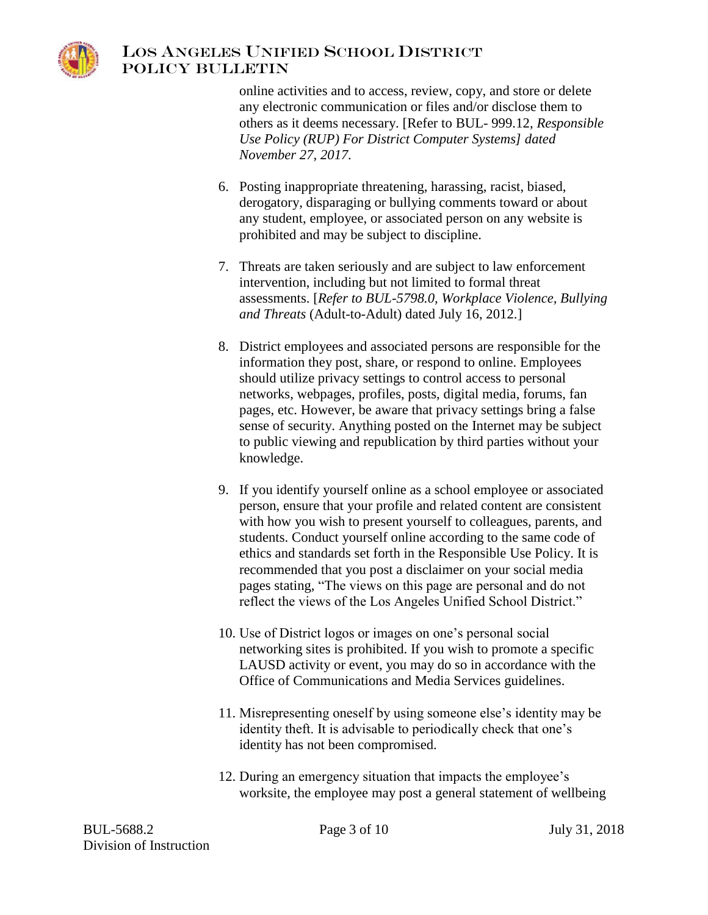

online activities and to access, review, copy, and store or delete any electronic communication or files and/or disclose them to others as it deems necessary. [Refer to BUL- 999.12, *Responsible Use Policy (RUP) For District Computer Systems] dated November 27, 2017.*

- 6. Posting inappropriate threatening, harassing, racist, biased, derogatory, disparaging or bullying comments toward or about any student, employee, or associated person on any website is prohibited and may be subject to discipline.
- 7. Threats are taken seriously and are subject to law enforcement intervention, including but not limited to formal threat assessments. [*Refer to BUL-5798.0, Workplace Violence, Bullying and Threats* (Adult-to-Adult) dated July 16, 2012.]
- 8. District employees and associated persons are responsible for the information they post, share, or respond to online. Employees should utilize privacy settings to control access to personal networks, webpages, profiles, posts, digital media, forums, fan pages, etc. However, be aware that privacy settings bring a false sense of security. Anything posted on the Internet may be subject to public viewing and republication by third parties without your knowledge.
- 9. If you identify yourself online as a school employee or associated person, ensure that your profile and related content are consistent with how you wish to present yourself to colleagues, parents, and students. Conduct yourself online according to the same code of ethics and standards set forth in the Responsible Use Policy. It is recommended that you post a disclaimer on your social media pages stating, "The views on this page are personal and do not reflect the views of the Los Angeles Unified School District."
- 10. Use of District logos or images on one's personal social networking sites is prohibited. If you wish to promote a specific LAUSD activity or event, you may do so in accordance with the Office of Communications and Media Services guidelines.
- 11. Misrepresenting oneself by using someone else's identity may be identity theft. It is advisable to periodically check that one's identity has not been compromised.
- 12. During an emergency situation that impacts the employee's worksite, the employee may post a general statement of wellbeing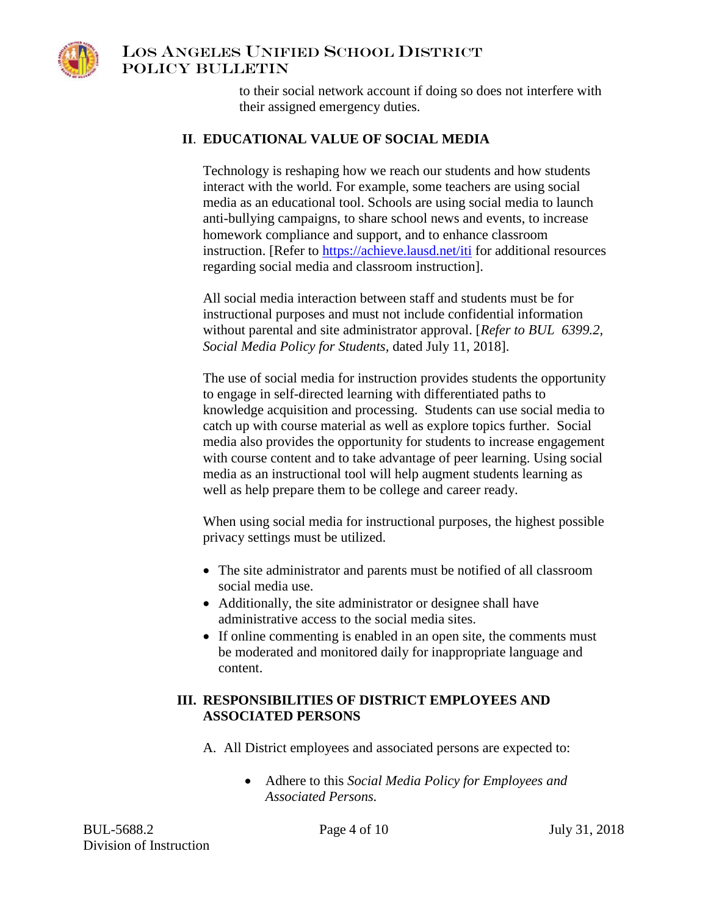

to their social network account if doing so does not interfere with their assigned emergency duties.

#### **II**. **EDUCATIONAL VALUE OF SOCIAL MEDIA**

Technology is reshaping how we reach our students and how students interact with the world. For example, some teachers are using social media as an educational tool. Schools are using social media to launch anti-bullying campaigns, to share school news and events, to increase homework compliance and support, and to enhance classroom instruction. [Refer to [https://achieve.lausd.net/iti](https://achieve.lausd.net/iti#spn-content) for additional resources regarding social media and classroom instruction].

All social media interaction between staff and students must be for instructional purposes and must not include confidential information without parental and site administrator approval. [*Refer to BUL 6399.2, Social Media Policy for Students,* dated July 11, 2018].

The use of social media for instruction provides students the opportunity to engage in self-directed learning with differentiated paths to knowledge acquisition and processing. Students can use social media to catch up with course material as well as explore topics further. Social media also provides the opportunity for students to increase engagement with course content and to take advantage of peer learning. Using social media as an instructional tool will help augment students learning as well as help prepare them to be college and career ready.

When using social media for instructional purposes, the highest possible privacy settings must be utilized.

- The site administrator and parents must be notified of all classroom social media use.
- Additionally, the site administrator or designee shall have administrative access to the social media sites.
- If online commenting is enabled in an open site, the comments must be moderated and monitored daily for inappropriate language and content.

#### **III. RESPONSIBILITIES OF DISTRICT EMPLOYEES AND ASSOCIATED PERSONS**

A. All District employees and associated persons are expected to:

 Adhere to this *Social Media Policy for Employees and Associated Persons.*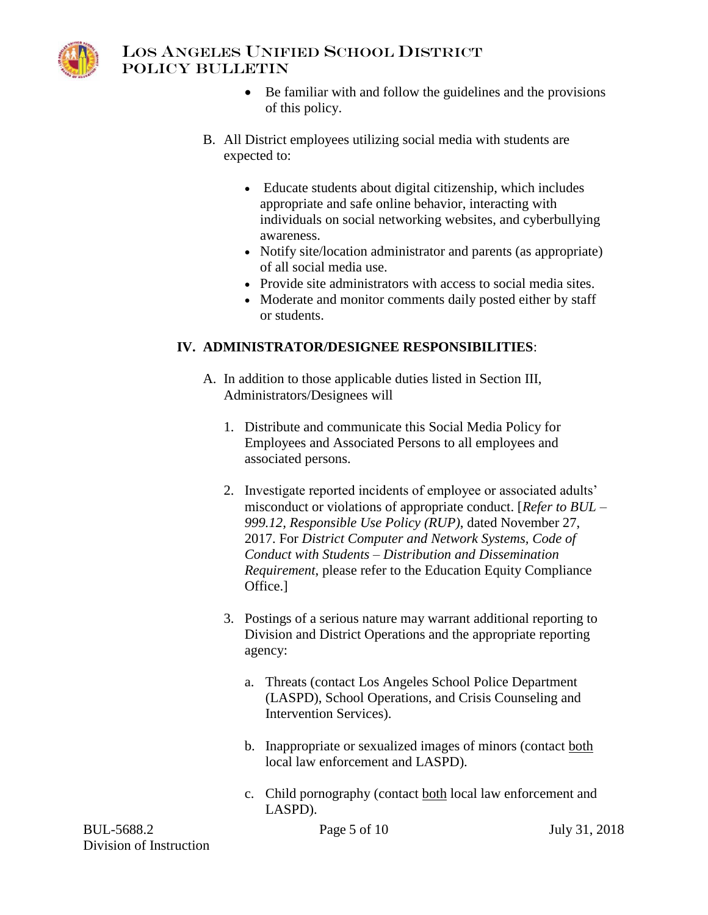

### LOS ANGELES UNIFIED SCHOOL DISTRICT POLICY BULLETIN

- Be familiar with and follow the guidelines and the provisions of this policy.
- B. All District employees utilizing social media with students are expected to:
	- Educate students about digital citizenship, which includes appropriate and safe online behavior, interacting with individuals on social networking websites, and cyberbullying awareness.
	- Notify site/location administrator and parents (as appropriate) of all social media use.
	- Provide site administrators with access to social media sites.
	- Moderate and monitor comments daily posted either by staff or students.

# **IV. ADMINISTRATOR/DESIGNEE RESPONSIBILITIES**:

- A. In addition to those applicable duties listed in Section III, Administrators/Designees will
	- 1. Distribute and communicate this Social Media Policy for Employees and Associated Persons to all employees and associated persons.
	- 2. Investigate reported incidents of employee or associated adults' misconduct or violations of appropriate conduct. [*Refer to BUL – 999.12, Responsible Use Policy (RUP)*, dated November 27, 2017. For *District Computer and Network Systems, Code of Conduct with Students – Distribution and Dissemination Requirement*, please refer to the Education Equity Compliance Office.]
	- 3. Postings of a serious nature may warrant additional reporting to Division and District Operations and the appropriate reporting agency:
		- a. Threats (contact Los Angeles School Police Department (LASPD), School Operations, and Crisis Counseling and Intervention Services).
		- b. Inappropriate or sexualized images of minors (contact both local law enforcement and LASPD).
		- c. Child pornography (contact both local law enforcement and LASPD).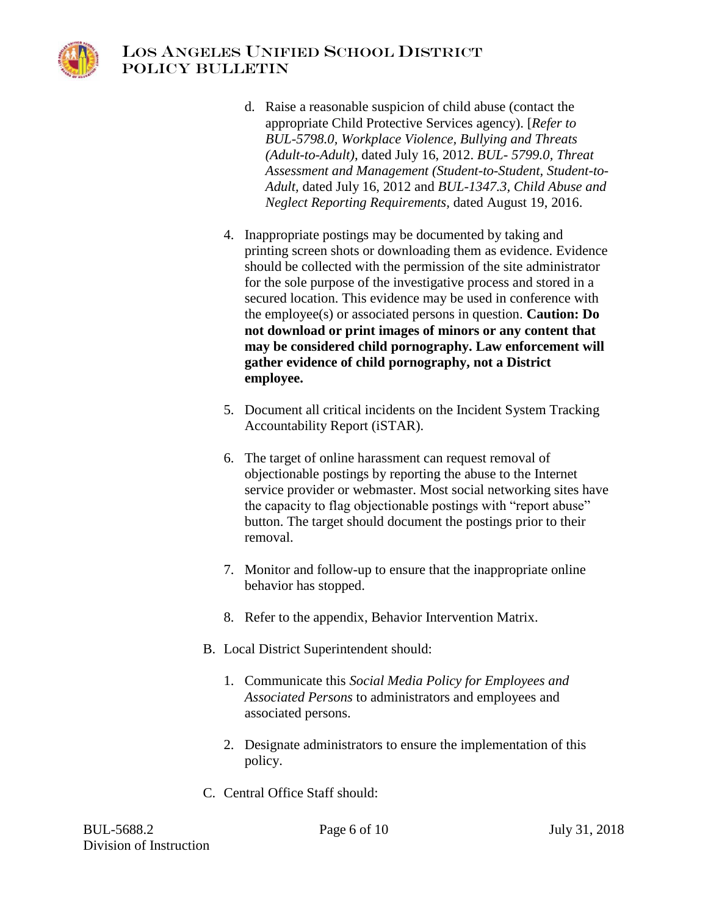

- d. Raise a reasonable suspicion of child abuse (contact the appropriate Child Protective Services agency). [*Refer to BUL-5798.0, Workplace Violence, Bullying and Threats (Adult-to-Adult)*, dated July 16, 2012. *BUL- 5799.0, Threat Assessment and Management (Student-to-Student, Student-to-Adult,* dated July 16, 2012 and *BUL-1347.3, Child Abuse and Neglect Reporting Requirements,* dated August 19, 2016.
- 4. Inappropriate postings may be documented by taking and printing screen shots or downloading them as evidence. Evidence should be collected with the permission of the site administrator for the sole purpose of the investigative process and stored in a secured location. This evidence may be used in conference with the employee(s) or associated persons in question. **Caution: Do not download or print images of minors or any content that may be considered child pornography. Law enforcement will gather evidence of child pornography, not a District employee.**
- 5. Document all critical incidents on the Incident System Tracking Accountability Report (iSTAR).
- 6. The target of online harassment can request removal of objectionable postings by reporting the abuse to the Internet service provider or webmaster. Most social networking sites have the capacity to flag objectionable postings with "report abuse" button. The target should document the postings prior to their removal.
- 7. Monitor and follow-up to ensure that the inappropriate online behavior has stopped.
- 8. Refer to the appendix, Behavior Intervention Matrix.
- B. Local District Superintendent should:
	- 1. Communicate this *Social Media Policy for Employees and Associated Persons* to administrators and employees and associated persons.
	- 2. Designate administrators to ensure the implementation of this policy.
- C. Central Office Staff should: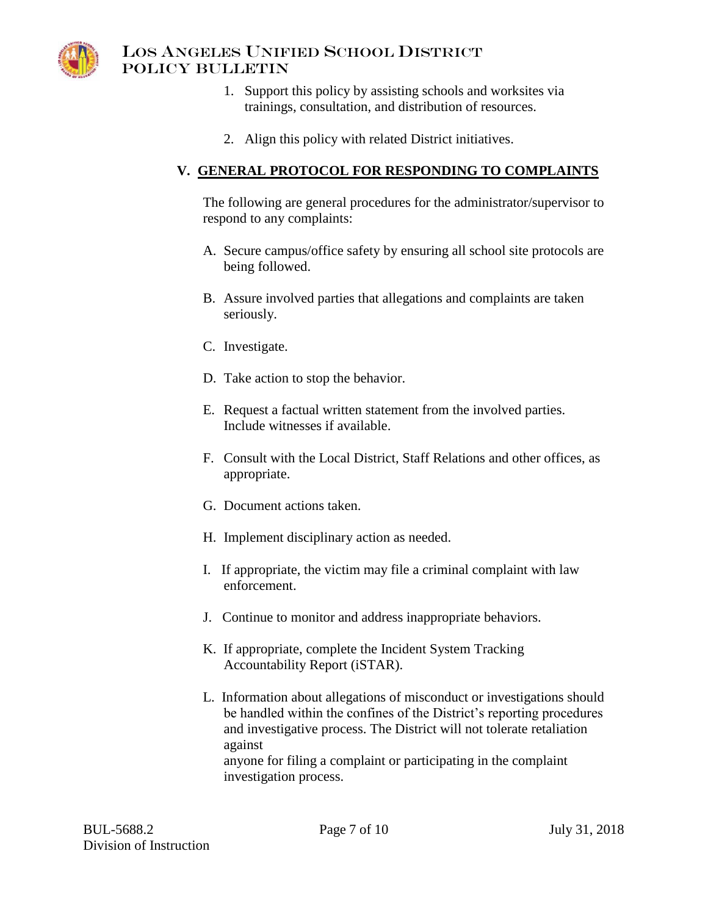

- 1. Support this policy by assisting schools and worksites via trainings, consultation, and distribution of resources.
- 2. Align this policy with related District initiatives.

### **V. GENERAL PROTOCOL FOR RESPONDING TO COMPLAINTS**

The following are general procedures for the administrator/supervisor to respond to any complaints:

- A. Secure campus/office safety by ensuring all school site protocols are being followed.
- B. Assure involved parties that allegations and complaints are taken seriously.
- C. Investigate.
- D. Take action to stop the behavior.
- E. Request a factual written statement from the involved parties. Include witnesses if available.
- F. Consult with the Local District, Staff Relations and other offices, as appropriate.
- G. Document actions taken.
- H. Implement disciplinary action as needed.
- I. If appropriate, the victim may file a criminal complaint with law enforcement.
- J. Continue to monitor and address inappropriate behaviors.
- K. If appropriate, complete the Incident System Tracking Accountability Report (iSTAR).
- L. Information about allegations of misconduct or investigations should be handled within the confines of the District's reporting procedures and investigative process. The District will not tolerate retaliation against anyone for filing a complaint or participating in the complaint investigation process.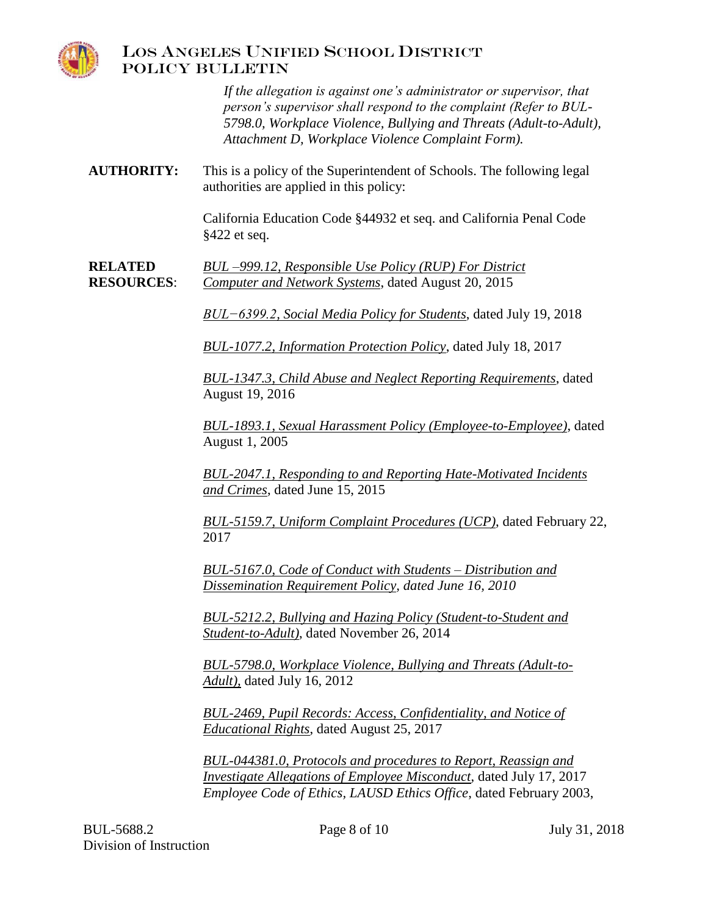

*If the allegation is against one's administrator or supervisor, that person's supervisor shall respond to the complaint (Refer to BUL-5798.0, Workplace Violence, Bullying and Threats (Adult-to-Adult), Attachment D, Workplace Violence Complaint Form).*

**AUTHORITY:** This is a policy of the Superintendent of Schools. The following legal authorities are applied in this policy:

> California Education Code §44932 et seq. and California Penal Code §422 et seq.

**RELATED** *BUL –999.12, Responsible Use Policy (RUP) For District* **RESOURCES**: *Computer and Network Systems*, dated August 20, 2015

*BUL−6399.2, Social Media Policy for Students*, dated July 19, 2018

*BUL-1077.2, Information Protection Policy*, dated July 18, 2017

*BUL-1347.3, Child Abuse and Neglect Reporting Requirements*, dated August 19, 2016

*BUL-1893.1, Sexual Harassment Policy (Employee-to-Employee)*, dated August 1, 2005

*BUL-2047.1, Responding to and Reporting Hate-Motivated Incidents and Crimes*, dated June 15, 2015

*BUL-5159.7, Uniform Complaint Procedures (UCP)*, dated February 22, 2017

*BUL-5167.0, Code of Conduct with Students – Distribution and Dissemination Requirement Policy, dated June 16, 2010*

*BUL-5212.2, Bullying and Hazing Policy (Student-to-Student and Student-to-Adult)*, dated November 26, 2014

*BUL-5798.0, Workplace Violence, Bullying and Threats (Adult-to-Adult),* dated July 16, 2012

*BUL-2469, Pupil Records: Access, Confidentiality, and Notice of Educational Rights*, dated August 25, 2017

*BUL-044381.0, Protocols and procedures to Report, Reassign and Investigate Allegations of Employee Misconduct*, dated July 17, 2017 *Employee Code of Ethics, LAUSD Ethics Office*, dated February 2003,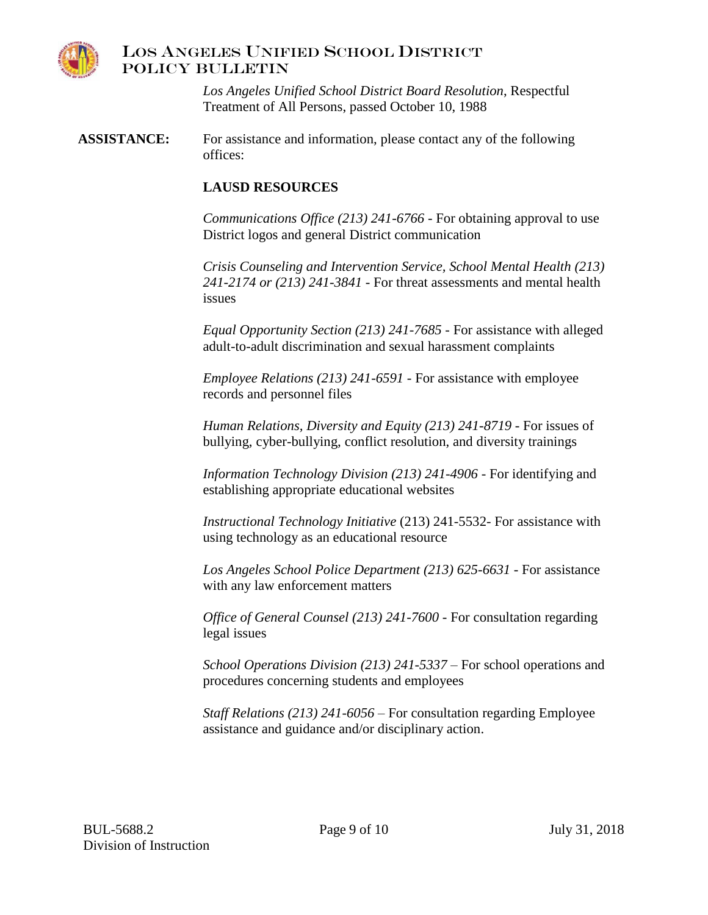

*Los Angeles Unified School District Board Resolution*, Respectful Treatment of All Persons, passed October 10, 1988

**ASSISTANCE:** For assistance and information, please contact any of the following offices:

#### **LAUSD RESOURCES**

*Communications Office (213) 241-6766* - For obtaining approval to use District logos and general District communication

*Crisis Counseling and Intervention Service, School Mental Health (213) 241-2174 or (213) 241-3841* - For threat assessments and mental health issues

*Equal Opportunity Section (213) 241-7685* - For assistance with alleged adult-to-adult discrimination and sexual harassment complaints

*Employee Relations (213) 241-6591* - For assistance with employee records and personnel files

*Human Relations, Diversity and Equity (213) 241-8719* - For issues of bullying, cyber-bullying, conflict resolution, and diversity trainings

*Information Technology Division (213) 241-4906* - For identifying and establishing appropriate educational websites

*Instructional Technology Initiative* (213) 241-5532- For assistance with using technology as an educational resource

*Los Angeles School Police Department (213) 625-6631* - For assistance with any law enforcement matters

*Office of General Counsel (213) 241-7600* - For consultation regarding legal issues

*School Operations Division (213) 241-5337* – For school operations and procedures concerning students and employees

*Staff Relations (213) 241-6056* – For consultation regarding Employee assistance and guidance and/or disciplinary action.